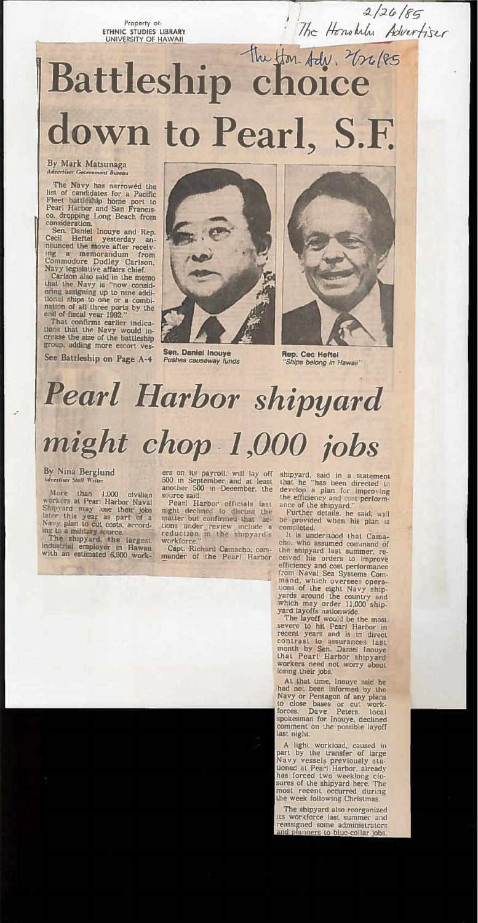Property of: ETHNIC STUDIES LIBRARY UNIVERSITY OF HAWAII

# Battleship choice down to Pearl, S.F.

#### By Mark Matsunaga **Advertiser Government Bureau**

The Navy has narrowed the<br>list of candidates for a Pacific Fleet battleship home port to Pearl Harbor and San Francisco, dropping Long Beach from consideration.

Sen. Daniel Inouye and Rep.<br>Cecil Heftel yesterday announced the move after receiving a memorandum from Commodore Dudley Carlson, Navy legislative affairs chief.

That the Navy is "now considering assigning up to nine additional ships to one or a combi-<br>national ships to one or a combi-<br>national ships to one or a combi-<br>nation of all three ports by the<br>end of fiscal year 1992."

That confirms earlier indications that the Navy would increase the size of the battleship group, adding more escort ves-

See Battleship on Page A-4



**Sen. Daniel Inouye** Pushes causeway funds



 $\frac{2/26/85}{\pi}$ 

Rep. Cec Heftel 'Ships belong in Hawaii"

## Pearl Harbor shipyard might chop 1,000 jobs

#### By Nina Berglund **Advertiser Staff Writer**

More than 1,000 civilian<br>workers at Pearl Harbor Naval Shipyard may lose their jobs<br>later this year as part of a<br>Navy plan to cut costs, accord-

ing to a military source.<br>The shipyard, the largest<br>industrial employer in Hawaii<br>with an estimated 6,900 work-

ers on its payroll, will lay off<br>500 in September and at least<br>another 500 in December, the source said.

Peanl Harbor officials last night declined to discuss the matter but confirmed that "actions under review include a reduction in the shipyard's workforce."

Capt. Richard Camacho, commander of the Pearl Harbor

shipyard, said in a statement<br>that he "has been directed to develop a plan for improving the efficiency and cost performance of the shipyard."

Further details, he said, will be provided when his plan is completed.

It is understood that Camacho, who assumed command of the shipyard last summer, received his orders to improve efficiency and cost performance from Naval Sea Systems Command, which oversees operations of the eight Navy ship-<br>yards around the country and<br>which may order 11,000 shipyard layoffs nationwide.

The layoff would be the most. severe to hit Pearl Harbor in recent years and is in direct contrast to assurances last month by Sen. Daniel Inouye that Pearl Harbor shipyard workers need not worry about losing their jobs.

At that time, Inouve said he had not been informed by the Navy or Pentagon of any plans to close bases or cut work-forces. Dave Peters, local spokesman for Inouye, declined comment on the possible layoff last night.

A light workload, caused in part by the transfer of large Navy vessels previously stationed at Pearl Harbor, already has forced two weeklong closures of the shipyard here. The most recent occurred during the week following Christmas.

The shipyard also reorganized its workforce last summer and reassigned some administrators and planners to blue-collar jobs.